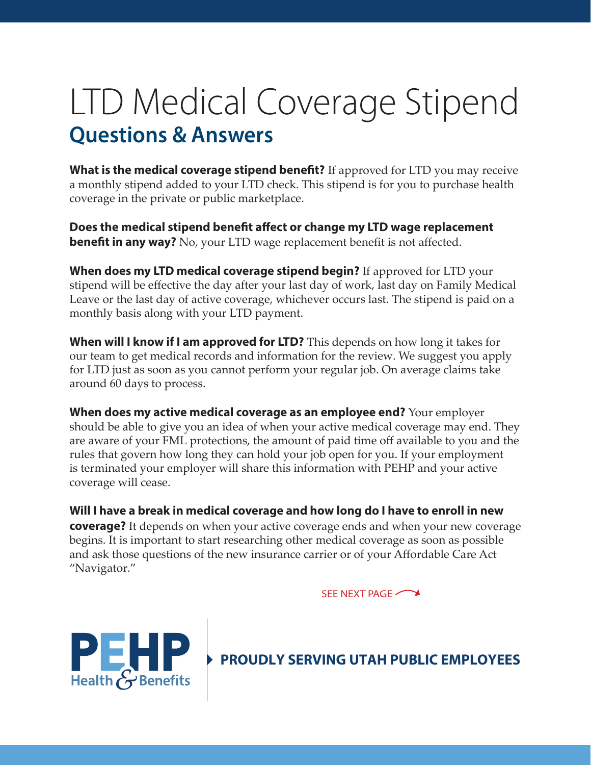# LTD Medical Coverage Stipend **Questions & Answers**

**What is the medical coverage stipend benefit?** If approved for LTD you may receive a monthly stipend added to your LTD check. This stipend is for you to purchase health coverage in the private or public marketplace.

**Does the medical stipend benefit affect or change my LTD wage replacement benefit in any way?** No, your LTD wage replacement benefit is not affected.

**When does my LTD medical coverage stipend begin?** If approved for LTD your stipend will be effective the day after your last day of work, last day on Family Medical Leave or the last day of active coverage, whichever occurs last. The stipend is paid on a monthly basis along with your LTD payment.

**When will I know if I am approved for LTD?** This depends on how long it takes for our team to get medical records and information for the review. We suggest you apply for LTD just as soon as you cannot perform your regular job. On average claims take around 60 days to process.

**When does my active medical coverage as an employee end?** Your employer should be able to give you an idea of when your active medical coverage may end. They are aware of your FML protections, the amount of paid time off available to you and the rules that govern how long they can hold your job open for you. If your employment is terminated your employer will share this information with PEHP and your active coverage will cease.

**Will I have a break in medical coverage and how long do I have to enroll in new coverage?** It depends on when your active coverage ends and when your new coverage begins. It is important to start researching other medical coverage as soon as possible and ask those questions of the new insurance carrier or of your Affordable Care Act "Navigator."

SEE NEXT PAGE



**PROUDLY SERVING UTAH PUBLIC EMPLOYEES**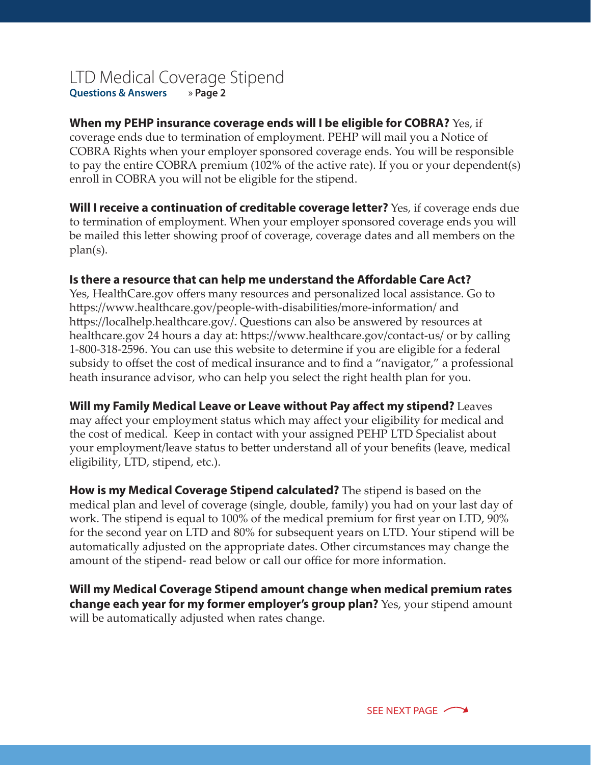## LTD Medical Coverage Stipend **Questions & Answers** » **Page 2**

## **When my PEHP insurance coverage ends will I be eligible for COBRA?** Yes, if

coverage ends due to termination of employment. PEHP will mail you a Notice of COBRA Rights when your employer sponsored coverage ends. You will be responsible to pay the entire COBRA premium (102% of the active rate). If you or your dependent(s) enroll in COBRA you will not be eligible for the stipend.

**Will I receive a continuation of creditable coverage letter?** Yes, if coverage ends due to termination of employment. When your employer sponsored coverage ends you will be mailed this letter showing proof of coverage, coverage dates and all members on the plan(s).

#### **Is there a resource that can help me understand the Affordable Care Act?**

Yes, HealthCare.gov offers many resources and personalized local assistance. Go to https://www.healthcare.gov/people-with-disabilities/more-information/ and https://localhelp.healthcare.gov/. Questions can also be answered by resources at healthcare.gov 24 hours a day at: https://www.healthcare.gov/contact-us/ or by calling 1-800-318-2596. You can use this website to determine if you are eligible for a federal subsidy to offset the cost of medical insurance and to find a "navigator," a professional heath insurance advisor, who can help you select the right health plan for you.

#### **Will my Family Medical Leave or Leave without Pay affect my stipend?** Leaves

may affect your employment status which may affect your eligibility for medical and the cost of medical. Keep in contact with your assigned PEHP LTD Specialist about your employment/leave status to better understand all of your benefits (leave, medical eligibility, LTD, stipend, etc.).

**How is my Medical Coverage Stipend calculated?** The stipend is based on the medical plan and level of coverage (single, double, family) you had on your last day of work. The stipend is equal to 100% of the medical premium for first year on LTD, 90% for the second year on LTD and 80% for subsequent years on LTD. Your stipend will be automatically adjusted on the appropriate dates. Other circumstances may change the amount of the stipend- read below or call our office for more information.

**Will my Medical Coverage Stipend amount change when medical premium rates change each year for my former employer's group plan?** Yes, your stipend amount will be automatically adjusted when rates change.

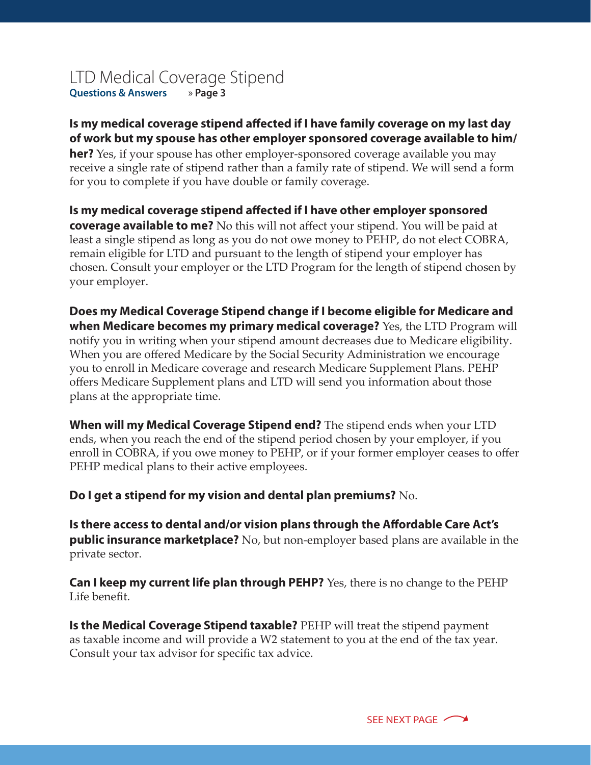# LTD Medical Coverage Stipend **Questions & Answers** » **Page 3**

## **Is my medical coverage stipend affected if I have family coverage on my last day of work but my spouse has other employer sponsored coverage available to him/**

**her?** Yes, if your spouse has other employer-sponsored coverage available you may receive a single rate of stipend rather than a family rate of stipend. We will send a form for you to complete if you have double or family coverage.

**Is my medical coverage stipend affected if I have other employer sponsored coverage available to me?** No this will not affect your stipend. You will be paid at least a single stipend as long as you do not owe money to PEHP, do not elect COBRA, remain eligible for LTD and pursuant to the length of stipend your employer has chosen. Consult your employer or the LTD Program for the length of stipend chosen by your employer.

**Does my Medical Coverage Stipend change if I become eligible for Medicare and when Medicare becomes my primary medical coverage?** Yes, the LTD Program will notify you in writing when your stipend amount decreases due to Medicare eligibility. When you are offered Medicare by the Social Security Administration we encourage you to enroll in Medicare coverage and research Medicare Supplement Plans. PEHP offers Medicare Supplement plans and LTD will send you information about those plans at the appropriate time.

**When will my Medical Coverage Stipend end?** The stipend ends when your LTD ends, when you reach the end of the stipend period chosen by your employer, if you enroll in COBRA, if you owe money to PEHP, or if your former employer ceases to offer PEHP medical plans to their active employees.

**Do I get a stipend for my vision and dental plan premiums?** No.

**Is there access to dental and/or vision plans through the Affordable Care Act's public insurance marketplace?** No, but non-employer based plans are available in the private sector.

**Can I keep my current life plan through PEHP?** Yes, there is no change to the PEHP Life benefit.

**Is the Medical Coverage Stipend taxable?** PEHP will treat the stipend payment as taxable income and will provide a W2 statement to you at the end of the tax year. Consult your tax advisor for specific tax advice.